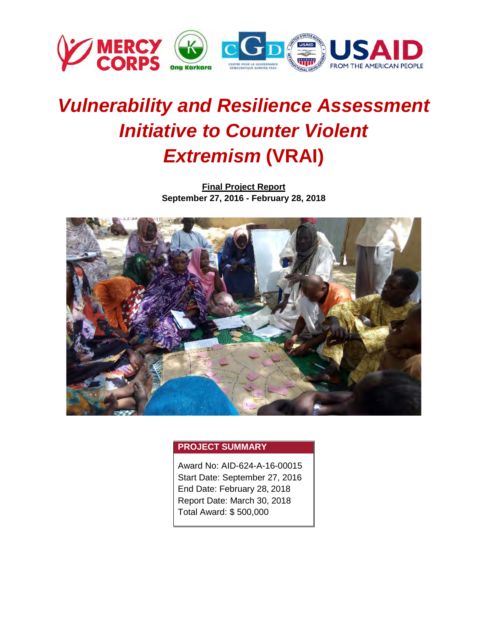

# *Vulnerability and Resilience Assessment Initiative to Counter Violent Extremism* **(VRAI)**

**Final Project Report September 27, 2016 - February 28, 2018**



# **PROJECT SUMMARY**

Award No: AID-624-A-16-00015 Start Date: September 27, 2016 End Date: February 28, 2018 Report Date: March 30, 2018 Total Award: \$ 500,000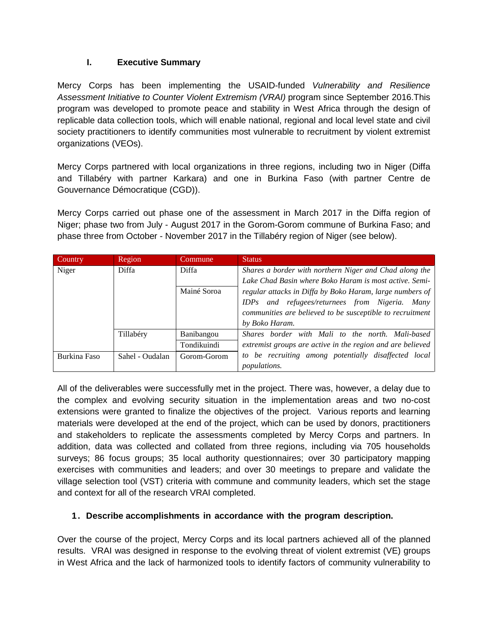# **I. Executive Summary**

Mercy Corps has been implementing the USAID-funded *Vulnerability and Resilience Assessment Initiative to Counter Violent Extremism (VRAI)* program since September 2016.This program was developed to promote peace and stability in West Africa through the design of replicable data collection tools, which will enable national, regional and local level state and civil society practitioners to identify communities most vulnerable to recruitment by violent extremist organizations (VEOs).

Mercy Corps partnered with local organizations in three regions, including two in Niger (Diffa and Tillabéry with partner Karkara) and one in Burkina Faso (with partner Centre de Gouvernance Démocratique (CGD)).

Mercy Corps carried out phase one of the assessment in March 2017 in the Diffa region of Niger; phase two from July - August 2017 in the Gorom-Gorom commune of Burkina Faso; and phase three from October - November 2017 in the Tillabéry region of Niger (see below).

| Country      | Region          | Commune           | <b>Status</b>                                              |  |
|--------------|-----------------|-------------------|------------------------------------------------------------|--|
| Niger        | Diffa           | Diffa             | Shares a border with northern Niger and Chad along the     |  |
|              |                 |                   | Lake Chad Basin where Boko Haram is most active. Semi-     |  |
|              |                 | Mainé Soroa       | regular attacks in Diffa by Boko Haram, large numbers of   |  |
|              |                 |                   | IDPs and refugees/returnees from Nigeria. Many             |  |
|              |                 |                   | communities are believed to be susceptible to recruitment  |  |
|              |                 |                   | by Boko Haram.                                             |  |
|              | Tillabéry       | <b>Banibangou</b> | Shares border with Mali to the north. Mali-based           |  |
|              |                 | Tondikuindi       | extremist groups are active in the region and are believed |  |
| Burkina Faso | Sahel - Oudalan | Gorom-Gorom       | to be recruiting among potentially disaffected local       |  |
|              |                 |                   | <i>populations.</i>                                        |  |

All of the deliverables were successfully met in the project. There was, however, a delay due to the complex and evolving security situation in the implementation areas and two no-cost extensions were granted to finalize the objectives of the project. Various reports and learning materials were developed at the end of the project, which can be used by donors, practitioners and stakeholders to replicate the assessments completed by Mercy Corps and partners. In addition, data was collected and collated from three regions, including via 705 households surveys; 86 focus groups; 35 local authority questionnaires; over 30 participatory mapping exercises with communities and leaders; and over 30 meetings to prepare and validate the village selection tool (VST) criteria with commune and community leaders, which set the stage and context for all of the research VRAI completed.

# **1. Describe accomplishments in accordance with the program description.**

Over the course of the project, Mercy Corps and its local partners achieved all of the planned results. VRAI was designed in response to the evolving threat of violent extremist (VE) groups in West Africa and the lack of harmonized tools to identify factors of community vulnerability to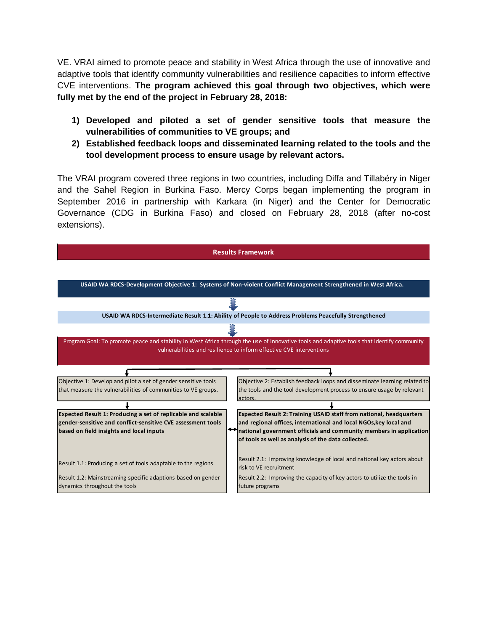VE. VRAI aimed to promote peace and stability in West Africa through the use of innovative and adaptive tools that identify community vulnerabilities and resilience capacities to inform effective CVE interventions. **The program achieved this goal through two objectives, which were fully met by the end of the project in February 28, 2018:**

- **1) Developed and piloted a set of gender sensitive tools that measure the vulnerabilities of communities to VE groups; and**
- **2) Established feedback loops and disseminated learning related to the tools and the tool development process to ensure usage by relevant actors.**

The VRAI program covered three regions in two countries, including Diffa and Tillabéry in Niger and the Sahel Region in Burkina Faso. Mercy Corps began implementing the program in September 2016 in partnership with Karkara (in Niger) and the Center for Democratic Governance (CDG in Burkina Faso) and closed on February 28, 2018 (after no-cost extensions).

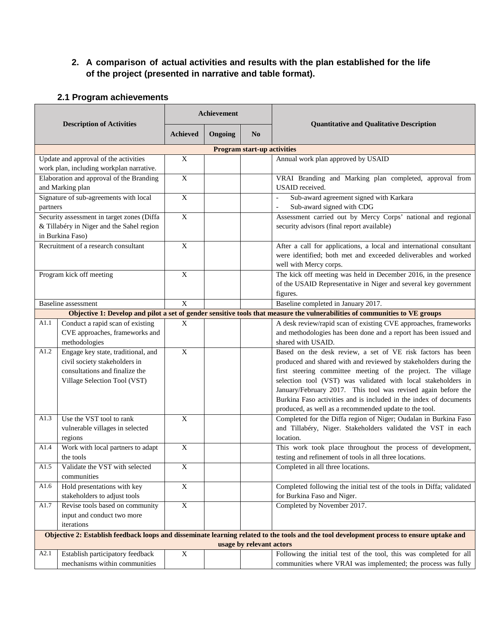# **2. A comparison of actual activities and results with the plan established for the life of the project (presented in narrative and table format).**

#### **Description of Activities Achievement Quantitative and Qualitative Description Achieved Ongoing No Program start-up activities** Update and approval of the activities work plan, including workplan narrative. X Annual work plan approved by USAID Elaboration and approval of the Branding and Marking plan X VRAI Branding and Marking plan completed, approval from USAID received. Signature of sub-agreements with local partners X | | | Sub-award agreement signed with Karkara Sub-award signed with CDG Security assessment in target zones (Diffa & Tillabéry in Niger and the Sahel region in Burkina Faso) X Assessment carried out by Mercy Corps' national and regional security advisors (final report available) Recruitment of a research consultant X After a call for applications, a local and international consultant were identified; both met and exceeded deliverables and worked well with Mercy corps. Program kick off meeting  $X = \begin{vmatrix} X & 1 \end{vmatrix}$  The kick off meeting was held in December 2016, in the presence of the USAID Representative in Niger and several key government figures. Baseline assessment  $X = \begin{bmatrix} 1 & 2 & 3 \\ 3 & 4 & 5 \end{bmatrix}$  Baseline completed in January 2017. Objective 1: Develop and pilot a set of gender sensitive tools that measure the vulnerabilities of communities to VE groups A1.1 Conduct a rapid scan of existing CVE approaches, frameworks and methodologies X A desk review/rapid scan of existing CVE approaches, frameworks and methodologies has been done and a report has been issued and shared with USAID. A1.2 Engage key state, traditional, and civil society stakeholders in consultations and finalize the Village Selection Tool (VST) X Based on the desk review, a set of VE risk factors has been produced and shared with and reviewed by stakeholders during the first steering committee meeting of the project. The village selection tool (VST) was validated with local stakeholders in January/February 2017. This tool was revised again before the Burkina Faso activities and is included in the index of documents produced, as well as a recommended update to the tool. A1.3 Use the VST tool to rank vulnerable villages in selected regions X Completed for the Diffa region of Niger; Oudalan in Burkina Faso and Tillabéry, Niger. Stakeholders validated the VST in each location. A1.4 Work with local partners to adapt the tools X This work took place throughout the process of development, testing and refinement of tools in all three locations. A1.5 Validate the VST with selected communities X Completed in all three locations. A1.6 Hold presentations with key stakeholders to adjust tools X Completed following the initial test of the tools in Diffa; validated for Burkina Faso and Niger. A1.7 Revise tools based on community input and conduct two more iterations X Completed by November 2017. Objective 2: Establish feedback loops and disseminate learning related to the tools and the tool development process to ensure uptake and **usage by relevant actors** A2.1 Establish participatory feedback mechanisms within communities X Following the initial test of the tool, this was completed for all communities where VRAI was implemented; the process was fully

#### **2.1 Program achievements**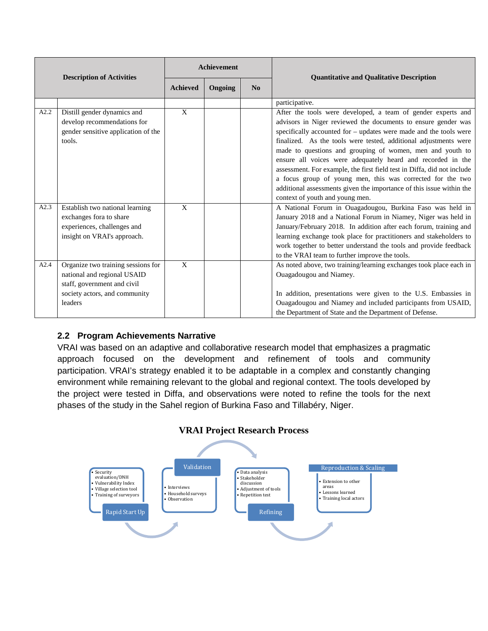| <b>Description of Activities</b> |                                                                                                                                              | <b>Achievement</b> |         |    | <b>Quantitative and Qualitative Description</b>                                                                                                                                                                                                                                                                                                                                                                                                                                                                                                                                                                                                        |  |
|----------------------------------|----------------------------------------------------------------------------------------------------------------------------------------------|--------------------|---------|----|--------------------------------------------------------------------------------------------------------------------------------------------------------------------------------------------------------------------------------------------------------------------------------------------------------------------------------------------------------------------------------------------------------------------------------------------------------------------------------------------------------------------------------------------------------------------------------------------------------------------------------------------------------|--|
|                                  |                                                                                                                                              | <b>Achieved</b>    | Ongoing | No |                                                                                                                                                                                                                                                                                                                                                                                                                                                                                                                                                                                                                                                        |  |
|                                  |                                                                                                                                              |                    |         |    | participative.                                                                                                                                                                                                                                                                                                                                                                                                                                                                                                                                                                                                                                         |  |
| A2.2                             | Distill gender dynamics and<br>develop recommendations for<br>gender sensitive application of the<br>tools.                                  | $\mathbf X$        |         |    | After the tools were developed, a team of gender experts and<br>advisors in Niger reviewed the documents to ensure gender was<br>specifically accounted for – updates were made and the tools were<br>finalized. As the tools were tested, additional adjustments were<br>made to questions and grouping of women, men and youth to<br>ensure all voices were adequately heard and recorded in the<br>assessment. For example, the first field test in Diffa, did not include<br>a focus group of young men, this was corrected for the two<br>additional assessments given the importance of this issue within the<br>context of youth and young men. |  |
| A2.3                             | Establish two national learning<br>exchanges fora to share<br>experiences, challenges and<br>insight on VRAI's approach.                     | $\mathbf{X}$       |         |    | A National Forum in Ouagadougou, Burkina Faso was held in<br>January 2018 and a National Forum in Niamey, Niger was held in<br>January/February 2018. In addition after each forum, training and<br>learning exchange took place for practitioners and stakeholders to<br>work together to better understand the tools and provide feedback<br>to the VRAI team to further improve the tools.                                                                                                                                                                                                                                                          |  |
| A2.4                             | Organize two training sessions for<br>national and regional USAID<br>staff, government and civil<br>society actors, and community<br>leaders | X                  |         |    | As noted above, two training/learning exchanges took place each in<br>Ouagadougou and Niamey.<br>In addition, presentations were given to the U.S. Embassies in<br>Ouagadougou and Niamey and included participants from USAID,<br>the Department of State and the Department of Defense.                                                                                                                                                                                                                                                                                                                                                              |  |

# **2.2 Program Achievements Narrative**

VRAI was based on an adaptive and collaborative research model that emphasizes a pragmatic approach focused on the development and refinement of tools and community participation. VRAI's strategy enabled it to be adaptable in a complex and constantly changing environment while remaining relevant to the global and regional context. The tools developed by the project were tested in Diffa, and observations were noted to refine the tools for the next phases of the study in the Sahel region of Burkina Faso and Tillabéry, Niger.

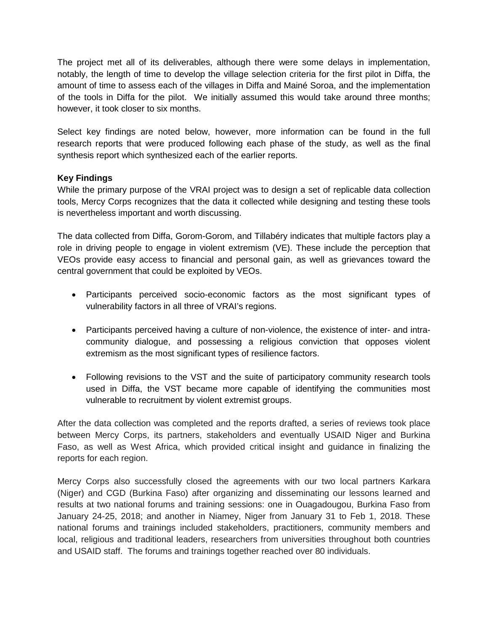The project met all of its deliverables, although there were some delays in implementation, notably, the length of time to develop the village selection criteria for the first pilot in Diffa, the amount of time to assess each of the villages in Diffa and Mainé Soroa, and the implementation of the tools in Diffa for the pilot. We initially assumed this would take around three months; however, it took closer to six months.

Select key findings are noted below, however, more information can be found in the full research reports that were produced following each phase of the study, as well as the final synthesis report which synthesized each of the earlier reports.

### **Key Findings**

While the primary purpose of the VRAI project was to design a set of replicable data collection tools, Mercy Corps recognizes that the data it collected while designing and testing these tools is nevertheless important and worth discussing.

The data collected from Diffa, Gorom-Gorom, and Tillabéry indicates that multiple factors play a role in driving people to engage in violent extremism (VE). These include the perception that VEOs provide easy access to financial and personal gain, as well as grievances toward the central government that could be exploited by VEOs.

- Participants perceived socio-economic factors as the most significant types of vulnerability factors in all three of VRAI's regions.
- Participants perceived having a culture of non-violence, the existence of inter- and intracommunity dialogue, and possessing a religious conviction that opposes violent extremism as the most significant types of resilience factors.
- Following revisions to the VST and the suite of participatory community research tools used in Diffa, the VST became more capable of identifying the communities most vulnerable to recruitment by violent extremist groups.

After the data collection was completed and the reports drafted, a series of reviews took place between Mercy Corps, its partners, stakeholders and eventually USAID Niger and Burkina Faso, as well as West Africa, which provided critical insight and guidance in finalizing the reports for each region.

Mercy Corps also successfully closed the agreements with our two local partners Karkara (Niger) and CGD (Burkina Faso) after organizing and disseminating our lessons learned and results at two national forums and training sessions: one in Ouagadougou, Burkina Faso from January 24-25, 2018; and another in Niamey, Niger from January 31 to Feb 1, 2018. These national forums and trainings included stakeholders, practitioners, community members and local, religious and traditional leaders, researchers from universities throughout both countries and USAID staff. The forums and trainings together reached over 80 individuals.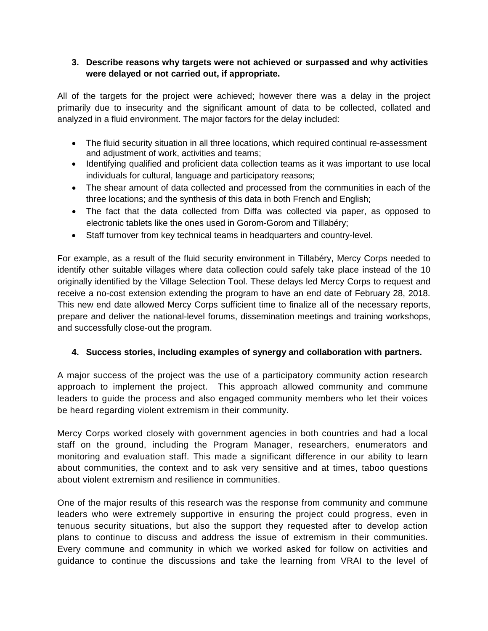# **3. Describe reasons why targets were not achieved or surpassed and why activities were delayed or not carried out, if appropriate.**

All of the targets for the project were achieved; however there was a delay in the project primarily due to insecurity and the significant amount of data to be collected, collated and analyzed in a fluid environment. The major factors for the delay included:

- The fluid security situation in all three locations, which required continual re-assessment and adjustment of work, activities and teams;
- Identifying qualified and proficient data collection teams as it was important to use local individuals for cultural, language and participatory reasons;
- The shear amount of data collected and processed from the communities in each of the three locations; and the synthesis of this data in both French and English;
- The fact that the data collected from Diffa was collected via paper, as opposed to electronic tablets like the ones used in Gorom-Gorom and Tillabéry;
- Staff turnover from key technical teams in headquarters and country-level.

For example, as a result of the fluid security environment in Tillabéry, Mercy Corps needed to identify other suitable villages where data collection could safely take place instead of the 10 originally identified by the Village Selection Tool. These delays led Mercy Corps to request and receive a no-cost extension extending the program to have an end date of February 28, 2018. This new end date allowed Mercy Corps sufficient time to finalize all of the necessary reports, prepare and deliver the national-level forums, dissemination meetings and training workshops, and successfully close-out the program.

# **4. Success stories, including examples of synergy and collaboration with partners.**

A major success of the project was the use of a participatory community action research approach to implement the project. This approach allowed community and commune leaders to guide the process and also engaged community members who let their voices be heard regarding violent extremism in their community.

Mercy Corps worked closely with government agencies in both countries and had a local staff on the ground, including the Program Manager, researchers, enumerators and monitoring and evaluation staff. This made a significant difference in our ability to learn about communities, the context and to ask very sensitive and at times, taboo questions about violent extremism and resilience in communities.

One of the major results of this research was the response from community and commune leaders who were extremely supportive in ensuring the project could progress, even in tenuous security situations, but also the support they requested after to develop action plans to continue to discuss and address the issue of extremism in their communities. Every commune and community in which we worked asked for follow on activities and guidance to continue the discussions and take the learning from VRAI to the level of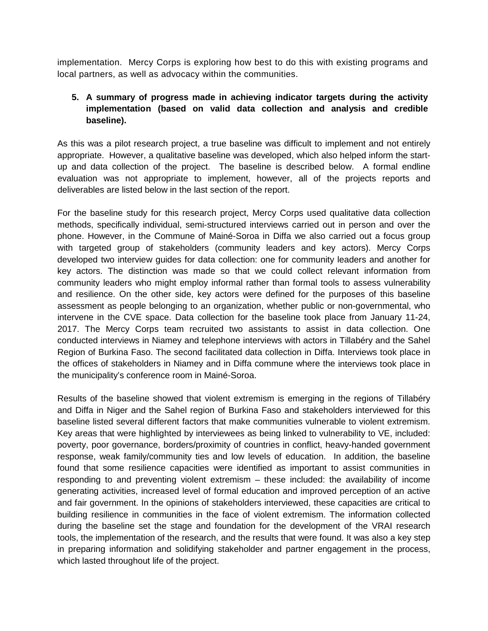implementation. Mercy Corps is exploring how best to do this with existing programs and local partners, as well as advocacy within the communities.

# **5. A summary of progress made in achieving indicator targets during the activity implementation (based on valid data collection and analysis and credible baseline).**

As this was a pilot research project, a true baseline was difficult to implement and not entirely appropriate. However, a qualitative baseline was developed, which also helped inform the startup and data collection of the project. The baseline is described below. A formal endline evaluation was not appropriate to implement, however, all of the projects reports and deliverables are listed below in the last section of the report.

For the baseline study for this research project, Mercy Corps used qualitative data collection methods, specifically individual, semi-structured interviews carried out in person and over the phone. However, in the Commune of Mainé-Soroa in Diffa we also carried out a focus group with targeted group of stakeholders (community leaders and key actors). Mercy Corps developed two interview guides for data collection: one for community leaders and another for key actors. The distinction was made so that we could collect relevant information from community leaders who might employ informal rather than formal tools to assess vulnerability and resilience. On the other side, key actors were defined for the purposes of this baseline assessment as people belonging to an organization, whether public or non-governmental, who intervene in the CVE space. Data collection for the baseline took place from January 11-24, 2017. The Mercy Corps team recruited two assistants to assist in data collection. One conducted interviews in Niamey and telephone interviews with actors in Tillabéry and the Sahel Region of Burkina Faso. The second facilitated data collection in Diffa. Interviews took place in the offices of stakeholders in Niamey and in Diffa commune where the interviews took place in the municipality's conference room in Mainé-Soroa.

Results of the baseline showed that violent extremism is emerging in the regions of Tillabéry and Diffa in Niger and the Sahel region of Burkina Faso and stakeholders interviewed for this baseline listed several different factors that make communities vulnerable to violent extremism. Key areas that were highlighted by interviewees as being linked to vulnerability to VE, included: poverty, poor governance, borders/proximity of countries in conflict, heavy-handed government response, weak family/community ties and low levels of education. In addition, the baseline found that some resilience capacities were identified as important to assist communities in responding to and preventing violent extremism – these included: the availability of income generating activities, increased level of formal education and improved perception of an active and fair government. In the opinions of stakeholders interviewed, these capacities are critical to building resilience in communities in the face of violent extremism. The information collected during the baseline set the stage and foundation for the development of the VRAI research tools, the implementation of the research, and the results that were found. It was also a key step in preparing information and solidifying stakeholder and partner engagement in the process, which lasted throughout life of the project.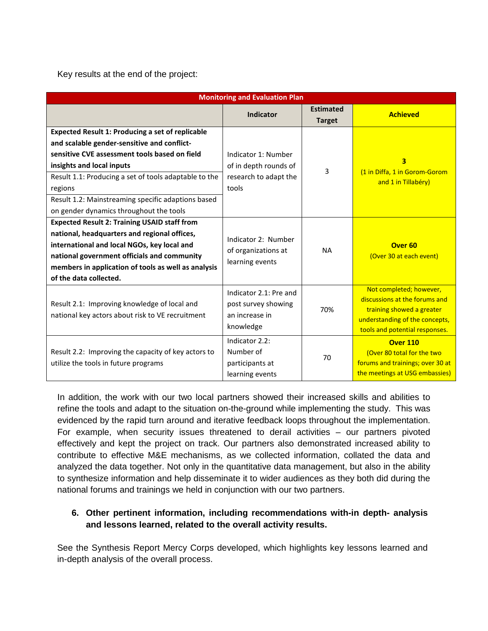Key results at the end of the project:

| <b>Monitoring and Evaluation Plan</b>                                                                                                                                                                                                                                                                                                                     |                                                                                |                                   |                                                                                                                                                           |  |  |  |  |  |
|-----------------------------------------------------------------------------------------------------------------------------------------------------------------------------------------------------------------------------------------------------------------------------------------------------------------------------------------------------------|--------------------------------------------------------------------------------|-----------------------------------|-----------------------------------------------------------------------------------------------------------------------------------------------------------|--|--|--|--|--|
|                                                                                                                                                                                                                                                                                                                                                           | <b>Indicator</b>                                                               | <b>Estimated</b><br><b>Target</b> | <b>Achieved</b>                                                                                                                                           |  |  |  |  |  |
| <b>Expected Result 1: Producing a set of replicable</b><br>and scalable gender-sensitive and conflict-<br>sensitive CVE assessment tools based on field<br>insights and local inputs<br>Result 1.1: Producing a set of tools adaptable to the<br>regions<br>Result 1.2: Mainstreaming specific adaptions based<br>on gender dynamics throughout the tools | Indicator 1: Number<br>of in depth rounds of<br>research to adapt the<br>tools | 3                                 | 3<br>(1 in Diffa, 1 in Gorom-Gorom<br>and 1 in Tillabéry)                                                                                                 |  |  |  |  |  |
| <b>Expected Result 2: Training USAID staff from</b><br>national, headquarters and regional offices,<br>international and local NGOs, key local and<br>national government officials and community<br>members in application of tools as well as analysis<br>of the data collected.                                                                        | Indicator 2: Number<br>of organizations at<br>learning events                  | <b>NA</b>                         | Over <sub>60</sub><br>(Over 30 at each event)                                                                                                             |  |  |  |  |  |
| Result 2.1: Improving knowledge of local and<br>national key actors about risk to VE recruitment                                                                                                                                                                                                                                                          | Indicator 2.1: Pre and<br>post survey showing<br>an increase in<br>knowledge   | 70%                               | Not completed; however,<br>discussions at the forums and<br>training showed a greater<br>understanding of the concepts,<br>tools and potential responses. |  |  |  |  |  |
| Result 2.2: Improving the capacity of key actors to<br>utilize the tools in future programs                                                                                                                                                                                                                                                               | Indicator 2.2:<br>Number of<br>participants at<br>learning events              | 70                                | <b>Over 110</b><br>(Over 80 total for the two<br>forums and trainings; over 30 at<br>the meetings at USG embassies)                                       |  |  |  |  |  |

In addition, the work with our two local partners showed their increased skills and abilities to refine the tools and adapt to the situation on-the-ground while implementing the study. This was evidenced by the rapid turn around and iterative feedback loops throughout the implementation. For example, when security issues threatened to derail activities – our partners pivoted effectively and kept the project on track. Our partners also demonstrated increased ability to contribute to effective M&E mechanisms, as we collected information, collated the data and analyzed the data together. Not only in the quantitative data management, but also in the ability to synthesize information and help disseminate it to wider audiences as they both did during the national forums and trainings we held in conjunction with our two partners.

# **6. Other pertinent information, including recommendations with-in depth- analysis and lessons learned, related to the overall activity results.**

See the Synthesis Report Mercy Corps developed, which highlights key lessons learned and in-depth analysis of the overall process.